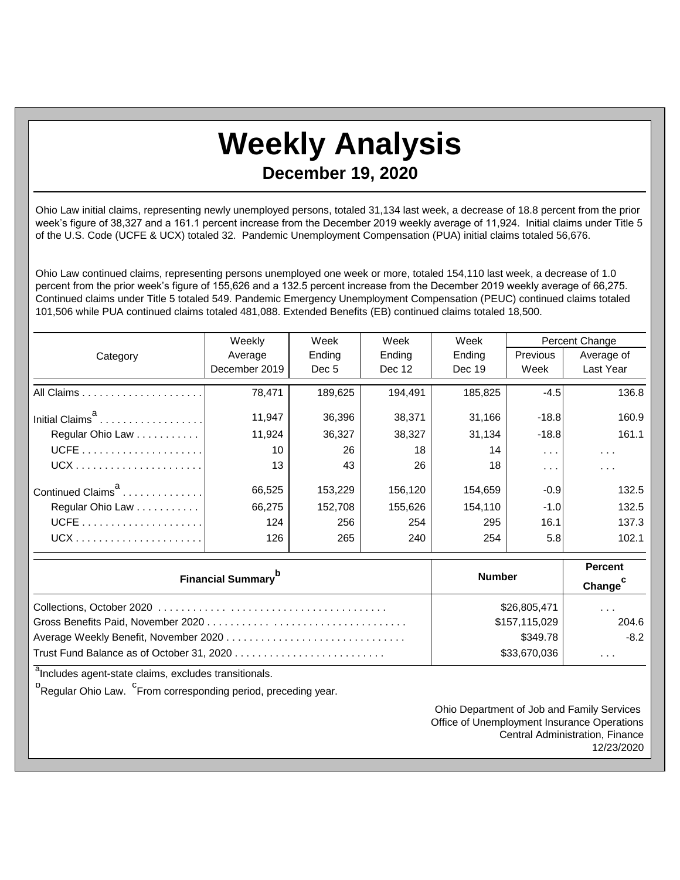## **Weekly Analysis**

## **December 19, 2020**

Ohio Law initial claims, representing newly unemployed persons, totaled 31,134 last week, a decrease of 18.8 percent from the prior week's figure of 38,327 and a 161.1 percent increase from the December 2019 weekly average of 11,924. Initial claims under Title 5 of the U.S. Code (UCFE & UCX) totaled 32. Pandemic Unemployment Compensation (PUA) initial claims totaled 56,676.

Ohio Law continued claims, representing persons unemployed one week or more, totaled 154,110 last week, a decrease of 1.0 percent from the prior week's figure of 155,626 and a 132.5 percent increase from the December 2019 weekly average of 66,275. Continued claims under Title 5 totaled 549. Pandemic Emergency Unemployment Compensation (PEUC) continued claims totaled 101,506 while PUA continued claims totaled 481,088. Extended Benefits (EB) continued claims totaled 18,500.

|                               | Weekly        | Week    | Week    | Week    | Percent Change                        |                      |
|-------------------------------|---------------|---------|---------|---------|---------------------------------------|----------------------|
| Category                      | Average       | Ending  | Ending  | Ending  | <b>Previous</b>                       | Average of           |
|                               | December 2019 | Dec 5   | Dec 12  | Dec 19  | Week                                  | Last Year            |
|                               | 78.471        | 189.625 | 194,491 | 185,825 | $-4.5$                                | 136.8                |
| Initial Claims <sup>a</sup>   | 11,947        | 36,396  | 38,371  | 31,166  | $-18.8$                               | 160.9                |
| Regular Ohio Law              | 11,924        | 36,327  | 38,327  | 31,134  | $-18.8$                               | 161.1                |
|                               | 10            | 26      | 18      | 14      | $\mathbf{r} \rightarrow \mathbf{r}$ . | $\sim$ $\sim$ $\sim$ |
|                               | 13            | 43      | 26      | 18      | $\sim$ $\sim$                         | $\cdots$             |
| Continued Claims <sup>a</sup> | 66,525        | 153,229 | 156,120 | 154,659 | $-0.9$                                | 132.5                |
| Regular Ohio Law              | 66.275        | 152.708 | 155.626 | 154.110 | $-1.0$                                | 132.5                |
|                               | 124           | 256     | 254     | 295     | 16.1                                  | 137.3                |
| $UCX$                         | 126           | 265     | 240     | 254     | 5.8                                   | 102.1                |

| <b>Financial Summary</b> | <b>Number</b> | <b>Percent</b><br>Change |
|--------------------------|---------------|--------------------------|
|                          | \$26,805,471  | $\cdots$                 |
|                          | \$157,115,029 | 204.6                    |
|                          | \$349.78      | $-8.2$                   |
|                          | \$33,670,036  | $\cdots$                 |

<sup>a</sup>Includes agent-state claims, excludes transitionals.

<sup>b</sup>Regular Ohio Law. <sup>C</sup>From corresponding period, preceding year.

Ohio Department of Job and Family Services Office of Unemployment Insurance Operations Central Administration, Finance 12/23/2020